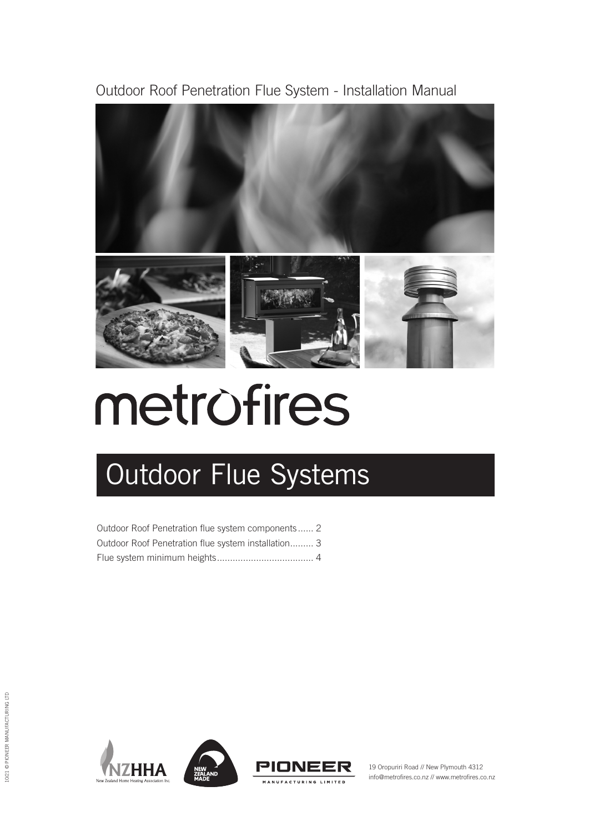Outdoor Roof Penetration Flue System - Installation Manual



# metrofires

## Outdoor Flue Systems

| Outdoor Roof Penetration flue system components 2   |  |
|-----------------------------------------------------|--|
| Outdoor Roof Penetration flue system installation 3 |  |
|                                                     |  |





19 Oropuriri Road // New Plymouth 4312 info@metrofires.co.nz // www.metrofires.co.nz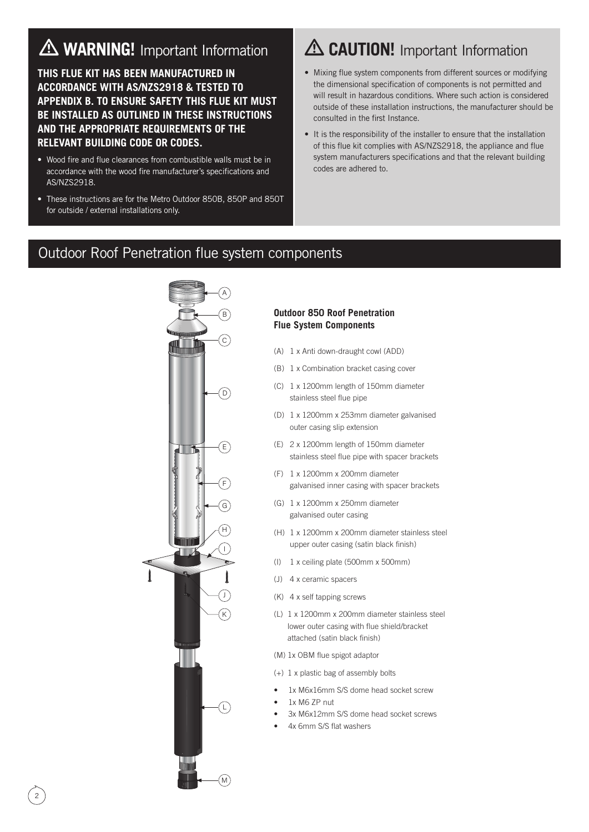## **WARNING!** Important Information

**THIS FLUE KIT HAS BEEN MANUFACTURED IN ACCORDANCE WITH AS/NZS2918 & TESTED TO APPENDIX B. TO ENSURE SAFETY THIS FLUE KIT MUST BE INSTALLED AS OUTLINED IN THESE INSTRUCTIONS AND THE APPROPRIATE REQUIREMENTS OF THE RELEVANT BUILDING CODE OR CODES.**

- Wood fire and flue clearances from combustible walls must be in accordance with the wood fire manufacturer's specifications and AS/NZS2918.
- These instructions are for the Metro Outdoor 850B, 850P and 850T for outside / external installations only.

## **CAUTION!** Important Information

- Mixing flue system components from different sources or modifying the dimensional specification of components is not permitted and will result in hazardous conditions. Where such action is considered outside of these installation instructions, the manufacturer should be consulted in the first Instance.
- It is the responsibility of the installer to ensure that the installation of this flue kit complies with AS/NZS2918, the appliance and flue system manufacturers specifications and that the relevant building codes are adhered to.

#### Outdoor Roof Penetration flue system components



#### **Outdoor 850 Roof Penetration Flue System Components**

- (A) 1 x Anti down-draught cowl (ADD)
- (B) 1 x Combination bracket casing cover
- (C) 1 x 1200mm length of 150mm diameter stainless steel flue pipe
- (D) 1 x 1200mm x 253mm diameter galvanised outer casing slip extension
- (E) 2 x 1200mm length of 150mm diameter stainless steel flue pipe with spacer brackets
- (F) 1 x 1200mm x 200mm diameter galvanised inner casing with spacer brackets
- (G) 1 x 1200mm x 250mm diameter galvanised outer casing
- (H) 1 x 1200mm x 200mm diameter stainless steel upper outer casing (satin black finish)
- (I) 1 x ceiling plate (500mm x 500mm)
- (J) 4 x ceramic spacers
- (K) 4 x self tapping screws
- (L) 1 x 1200mm x 200mm diameter stainless steel lower outer casing with flue shield/bracket attached (satin black finish)
- (M) 1x OBM flue spigot adaptor
- (+) 1 x plastic bag of assembly bolts
- 1x M6x16mm S/S dome head socket screw
- 1x M6 ZP nut
- 3x M6x12mm S/S dome head socket screws
- 4x 6mm S/S flat washers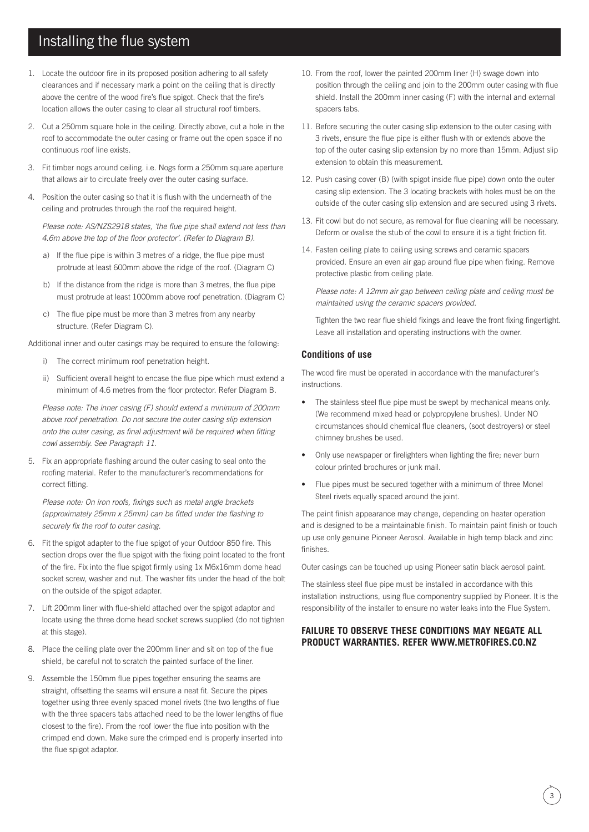#### Installing the flue system

- 1. Locate the outdoor fire in its proposed position adhering to all safety clearances and if necessary mark a point on the ceiling that is directly above the centre of the wood fire's flue spigot. Check that the fire's location allows the outer casing to clear all structural roof timbers.
- 2. Cut a 250mm square hole in the ceiling. Directly above, cut a hole in the roof to accommodate the outer casing or frame out the open space if no continuous roof line exists.
- 3. Fit timber nogs around ceiling. i.e. Nogs form a 250mm square aperture that allows air to circulate freely over the outer casing surface.
- 4. Position the outer casing so that it is flush with the underneath of the ceiling and protrudes through the roof the required height.

*Please note: AS/NZS2918 states, 'the flue pipe shall extend not less than 4.6m above the top of the floor protector'. (Refer to Diagram B).*

- a) If the flue pipe is within 3 metres of a ridge, the flue pipe must protrude at least 600mm above the ridge of the roof. (Diagram C)
- b) If the distance from the ridge is more than 3 metres, the flue pipe must protrude at least 1000mm above roof penetration. (Diagram C)
- c) The flue pipe must be more than 3 metres from any nearby structure. (Refer Diagram C).

Additional inner and outer casings may be required to ensure the following:

- i) The correct minimum roof penetration height.
- ii) Sufficient overall height to encase the flue pipe which must extend a minimum of 4.6 metres from the floor protector. Refer Diagram B.

*Please note: The inner casing (F) should extend a minimum of 200mm above roof penetration. Do not secure the outer casing slip extension onto the outer casing, as final adjustment will be required when fitting cowl assembly. See Paragraph 11.*

5. Fix an appropriate flashing around the outer casing to seal onto the roofing material. Refer to the manufacturer's recommendations for correct fitting.

*Please note: On iron roofs, fixings such as metal angle brackets (approximately 25mm x 25mm) can be fitted under the flashing to securely fix the roof to outer casing.*

- 6. Fit the spigot adapter to the flue spigot of your Outdoor 850 fire. This section drops over the flue spigot with the fixing point located to the front of the fire. Fix into the flue spigot firmly using 1x M6x16mm dome head socket screw, washer and nut. The washer fits under the head of the bolt on the outside of the spigot adapter.
- 7. Lift 200mm liner with flue-shield attached over the spigot adaptor and locate using the three dome head socket screws supplied (do not tighten at this stage).
- 8. Place the ceiling plate over the 200mm liner and sit on top of the flue shield, be careful not to scratch the painted surface of the liner.
- 9. Assemble the 150mm flue pipes together ensuring the seams are straight, offsetting the seams will ensure a neat fit. Secure the pipes together using three evenly spaced monel rivets (the two lengths of flue with the three spacers tabs attached need to be the lower lengths of flue closest to the fire). From the roof lower the flue into position with the crimped end down. Make sure the crimped end is properly inserted into the flue spigot adaptor.
- 10. From the roof, lower the painted 200mm liner (H) swage down into position through the ceiling and join to the 200mm outer casing with flue shield. Install the 200mm inner casing (F) with the internal and external spacers tabs.
- 11. Before securing the outer casing slip extension to the outer casing with 3 rivets, ensure the flue pipe is either flush with or extends above the top of the outer casing slip extension by no more than 15mm. Adjust slip extension to obtain this measurement.
- 12. Push casing cover (B) (with spigot inside flue pipe) down onto the outer casing slip extension. The 3 locating brackets with holes must be on the outside of the outer casing slip extension and are secured using 3 rivets.
- 13. Fit cowl but do not secure, as removal for flue cleaning will be necessary. Deform or ovalise the stub of the cowl to ensure it is a tight friction fit.
- 14. Fasten ceiling plate to ceiling using screws and ceramic spacers provided. Ensure an even air gap around flue pipe when fixing. Remove protective plastic from ceiling plate.

*Please note: A 12mm air gap between ceiling plate and ceiling must be maintained using the ceramic spacers provided.*

Tighten the two rear flue shield fixings and leave the front fixing fingertight. Leave all installation and operating instructions with the owner.

#### **Conditions of use**

The wood fire must be operated in accordance with the manufacturer's instructions.

- The stainless steel flue pipe must be swept by mechanical means only. (We recommend mixed head or polypropylene brushes). Under NO circumstances should chemical flue cleaners, (soot destroyers) or steel chimney brushes be used.
- Only use newspaper or firelighters when lighting the fire; never burn colour printed brochures or junk mail.
- Flue pipes must be secured together with a minimum of three Monel Steel rivets equally spaced around the joint.

The paint finish appearance may change, depending on heater operation and is designed to be a maintainable finish. To maintain paint finish or touch up use only genuine Pioneer Aerosol. Available in high temp black and zinc finishes.

Outer casings can be touched up using Pioneer satin black aerosol paint.

The stainless steel flue pipe must be installed in accordance with this installation instructions, using flue componentry supplied by Pioneer. It is the responsibility of the installer to ensure no water leaks into the Flue System.

#### **FAILURE TO OBSERVE THESE CONDITIONS MAY NEGATE ALL PRODUCT WARRANTIES. REFER WWW.METROFIRES.CO.NZ**